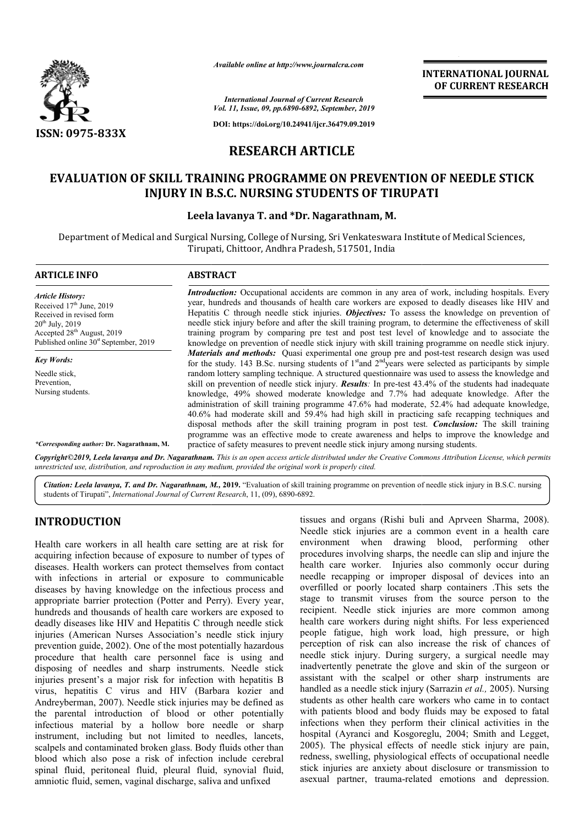

*Available online at http://www.journalcra.com*

*International Journal of Current Research Vol. 11, Issue, 09, pp.6890-6892, September, 2019*

**DOI: https://doi.org/10.24941/ijcr.36479.09.2019**

# **RESEARCH ARTICLE**

# **EVALUATION OF SKILL TRAINING PROGRAMME ON PREVENTION OF NEEDLE STICK**  ' SKILL TRAINING PROGRAMME ON PREVENTION O<br>INJURY IN B.S.C. NURSING STUDENTS OF TIRUPATI

### **Leela lavanya T. and \*Dr. Nagarathnam, M.**

Department of Medical and Surgical Nursing, College of Nursing, Sri Venkateswara Institute of Medical Sciences, Tirupati, Chittoor, Andhra Pradesh, 517501, India

| <b>ARTICLE INFO</b>                                                                                                                                                                                        | <b>ABSTRACT</b>                                                                                                                                                                                                                                                                                                                                                                                                                                                                                                                                                                                                                                                                                                     |
|------------------------------------------------------------------------------------------------------------------------------------------------------------------------------------------------------------|---------------------------------------------------------------------------------------------------------------------------------------------------------------------------------------------------------------------------------------------------------------------------------------------------------------------------------------------------------------------------------------------------------------------------------------------------------------------------------------------------------------------------------------------------------------------------------------------------------------------------------------------------------------------------------------------------------------------|
| <b>Article History:</b><br>Received $17th$ June, 2019<br>Received in revised form<br>$20^{th}$ July, $2019$<br>Accepted 28 <sup>th</sup> August, 2019<br>Published online 30 <sup>st</sup> September, 2019 | Introduction: Occupational accidents are common in any area of work, including hospitals. Every<br>year, hundreds and thousands of health care workers are exposed to deadly diseases like HIV and<br>Hepatitis C through needle stick injuries. Objectives: To assess the knowledge on prevention of<br>needle stick injury before and after the skill training program, to determine the effectiveness of skill<br>training program by comparing pre test and post test level of knowledge and to associate the<br>knowledge on prevention of needle stick injury with skill training programme on needle stick injury.                                                                                           |
| <b>Key Words:</b>                                                                                                                                                                                          | Materials and methods: Quasi experimental one group pre and post-test research design was used<br>for the study. 143 B.Sc. nursing students of $1st$ and $2nd$ years were selected as participants by simple                                                                                                                                                                                                                                                                                                                                                                                                                                                                                                        |
| Needle stick.<br>Prevention.<br>Nursing students.                                                                                                                                                          | random lottery sampling technique. A structured questionnaire was used to assess the knowledge and<br>skill on prevention of needle stick injury. <b>Results</b> : In pre-test 43.4% of the students had inadequate<br>knowledge, 49% showed moderate knowledge and 7.7% had adequate knowledge. After the<br>administration of skill training programme 47.6% had moderate, 52.4% had adequate knowledge,<br>40.6% had moderate skill and 59.4% had high skill in practicing safe recapping techniques and<br>disposal methods after the skill training program in post test. <i>Conclusion</i> : The skill training<br>programme was an effective mode to create awareness and helps to improve the knowledge and |
| *Corresponding author: Dr. Nagarathnam, M.                                                                                                                                                                 | practice of safety measures to prevent needle stick injury among nursing students.                                                                                                                                                                                                                                                                                                                                                                                                                                                                                                                                                                                                                                  |

Copyright©2019, Leela lavanya and Dr. Nagarathnam. This is an open access article distributed under the Creative Commons Attribution License, which permits *unrestricted use, distribution, and reproduction in any medium, provided the original work is properly cited.*

Citation: Leela lavanya, T. and Dr. Nagarathnam, M., 2019. "Evaluation of skill training programme on prevention of needle stick injury in B.S.C. nursing students of Tirupati", *International Journal of Current Research*, 11, (09), 6890-6892.

## **INTRODUCTION**

Health care workers in all health care setting are at risk for acquiring infection because of exposure to number of types of diseases. Health workers can protect themselves from contact with infections in arterial or exposure to communicable diseases by having knowledge on the infectious process and appropriate barrier protection (Potter and Perry). Every year, hundreds and thousands of health care workers are exposed to deadly diseases like HIV and Hepatitis C through needle stick injuries (American Nurses Association's needle stick injury prevention guide, 2002). One of the most potentially hazardous procedure that health care personnel face is using a disposing of needles and sharp instruments. Needle stick injuries present's a major risk for infection with hepatitis B virus, hepatitis C virus and HIV (Barbara kozier and Andreyberman, 2007). Needle stick injuries may be defined as the parental introduction of blood or other potentially infectious material by a hollow bore needle or sharp instrument, including but not limited to needles, lancets, scalpels and contaminated broken glass. Body fluids other than blood which also pose a risk of infection include cerebral spinal fluid, peritoneal fluid, pleural fluid, synovial fluid, amniotic fluid, semen, vaginal discharge, saliva and unfixed American Nurses Association's needle stick injury<br>n guide, 2002). One of the most potentially hazardous<br>that health care personnel face is using and virus and HIV (Barbara kozier and<br>
). Needle stick injuries may be defined as<br>
uction of blood or other potentially<br>
by a hollow bore needle or sharp<br>
g but not limited to needles, lancets,<br>
nated broken glass. Body fluids

tissues and organs (Rishi buli and Aprveen Sharma, 2008). Needle stick injuries are a common event in a health care environment when drawing blood, performing other procedures involving sharps, the needle can slip and injure the health care worker. Injuries also commonly occur during needle recapping or improper disposal of devices into an overfilled or poorly located sharp containers .This sets the stage to transmit viruses from the source person to the recipient. Needle stick injuries are more common among overfilled or poorly located sharp containers .This sets the stage to transmit viruses from the source person to the recipient. Needle stick injuries are more common among health care workers during night shifts. For less people fatigue, high work load, high pressure, or high perception of risk can also increase the risk of chances of needle stick injury. During surgery, a surgical needle may inadvertently penetrate the glove and skin of the surgeon or assistant with the scalpel or other sharp instruments are perception of risk can also increase the risk of chances of needle stick injury. During surgery, a surgical needle may inadvertently penetrate the glove and skin of the surgeon or assistant with the scalpel or other sharp students as other health care workers who came in to contact with patients blood and body fluids may be exposed to fatal infections when they perform their clinical activities in the hospital (Ayranci and Kosgoreglu, 2004; Smith and Legget, 2005). The physical effects of needle stick injury are pain, redness, swelling, physiological effects of occupational needle redness, swelling, physiological effects of occupational needle stick injuries are anxiety about disclosure or transmission to asexual partner, trauma-related emotions and depression. Needle stick injuries are a common event in a health care<br>environment when drawing blood, performing other<br>procedures involving sharps, the needle can slip and injure the<br>health care worker. Injuries also commonly occur du health care workers who came in to contact<br>od and body fluids may be exposed to fatal<br>they perform their clinical activities in the<br>and Kosgoreglu, 2004; Smith and Legget, related and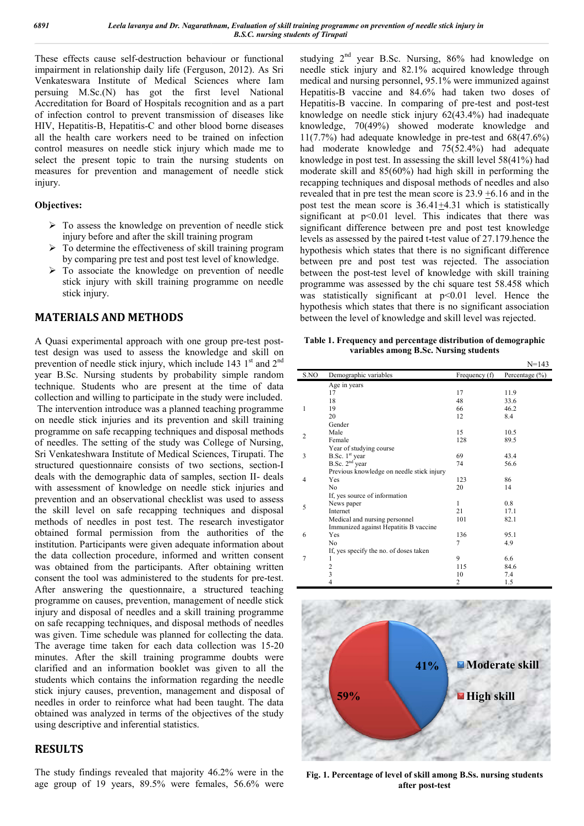These effects cause self-destruction behaviour or functional These effects cause self-destruction behaviour or functional impairment in relationship daily life (Ferguson, 2012). As Sri Venkateswara Institute of Medical Sciences where Iam persuing M.Sc.(N) has got the first level National Accreditation for Board of Hospitals recognition and as a part of infection control to prevent transmission of diseases like HIV, Hepatitis-B, Hepatitis-C and other blood borne diseases all the health care workers need to be trained on infection control measures on needle stick injury which made me to select the present topic to train the nursing students on measures for prevention and management of needle stick injury. s-C and other blood borne diseases<br>rs need to be trained on infection<br>le stick injury which made me to<br>to train the nursing students on<br>and management of needle stick<br>ledge on prevention of needle stick<br>let the skill train

#### **Objectives:**

- $\triangleright$  To assess the knowledge on prevention of needle stick injury before and after the skill training program
- $\triangleright$  To determine the effectiveness of skill training program by comparing pre test and post test level of knowledge.
- $\triangleright$  To associate the knowledge on prevention of needle stick injury with skill training programme on needle stick injury.

## **MATERIALS AND METHODS**

A Quasi experimental approach with one group pre test design was used to assess the knowledge and skill on prevention of needle stick injury, which include 143  $1<sup>st</sup>$  and  $2<sup>nd</sup>$ year B.Sc. Nursing students by probability simple random technique. Students who are present at the time of data collection and willing to participate in the study were included.

The intervention introduce was a planned teaching programme on needle stick injuries and its prevention and skill training programme on safe recapping techniques and disposal methods of needles. The setting of the study was College of Nursing, Sri Venkateshwara Institute of Medical Sciences, Tirupati. The structured questionnaire consists of two sections, section-I deals with the demographic data of samples, section II- deals with assessment of knowledge on needle stick injuries and prevention and an observational checklist was used to assess the skill level on safe recapping techniques and disposal methods of needles in post test. The research investigator obtained formal permission from the authorities of the institution. Participants were given adequate information about the data collection procedure, informed and written consent was obtained from the participants. After obtaining written consent the tool was administered to the students for pre-test. After answering the questionnaire, a structured teaching programme on causes, prevention, management of needle stick injury and disposal of needles and a skill training programme on safe recapping techniques, and disposal methods of needles was given. Time schedule was planned for collecting the data. injury and disposal of needles and a skill training programme<br>on safe recapping techniques, and disposal methods of needles<br>was given. Time schedule was planned for collecting the data.<br>The average time taken for each data minutes. After the skill training programme doubts were clarified and an information booklet was given to all the students which contains the information regarding the needle stick injury causes, prevention, management and disposal of needles in order to reinforce what had been taught. The data obtained was analyzed in terms of the objectives of the study using descriptive and inferential statistics. eedle stick injuries and its prevention and skill training<br>ramme on safe recapping techniques and disposal methods<br>eedles. The setting of the study was College of Nursing,<br>/enkateshwara Institute of Medical Sciences, Tirup apping techniques and disposal<br>t test. The research investigator<br>n from the authorities of the<br>given adequate information about<br>e, informed and written consent

### **RESULTS**

The study findings revealed that majority 46.2% were in the age group of 19 years, 89.5% were females, 56.6% wer were studying 2nd year B.Sc. Nursing, 86% had knowledge on needle stick injury and 82.1% acquired knowledge through medical and nursing personnel, 95.1% were immunized against Hepatitis-B vaccine and 84.6% had taken two doses of studying  $2^{nd}$  year B.Sc. Nursing, 86% had knowledge on needle stick injury and 82.1% acquired knowledge through medical and nursing personnel, 95.1% were immunized against Hepatitis-B vaccine and 84.6% had taken two dos knowledge on needle stick injury 62(43.4%) had inadequate knowledge, 70(49%) showed moderate knowledge and 11(7.7%) had adequate knowledge in pre-test and  $68(47.6%)$ had moderate knowledge and 75(52.4%) had adequate knowledge in post test. In assessing the skill level 58(41%) had moderate skill and 85(60%) had high skill in performing the recapping techniques and disposal methods of needles and also knowledge in post test. In assessing the skill level 58(41%) had moderate skill and 85(60%) had high skill in performing the recapping techniques and disposal methods of needles and also revealed that in pre test the mean post test the mean score is  $36.41 \pm 4.31$  which is statistically significant at  $p<0.01$  level. This indicates that there was significant difference between pre and post test knowledge levels as assessed by the paired t-test value of 27.179 hence the hypothesis which states that there is no significant difference between pre and post test was rejected. The association between the post-test level of knowledge with skill training programme was assessed by the chi square test 58.458 which was statistically significant at  $p<0.01$  level. Hence the hypothesis which states that there is no significant association hypothesis which states that there is no significant associat<br>between the level of knowledge and skill level was rejected. e on needle stick injury 62(43.4%) had inadequate<br>e, 70(49%) showed moderate knowledge and<br>had adequate knowledge in pre-test and 68(47.6%) 1 level. This indicates that there was<br>between pre and post test knowledge<br>the paired t-test value of 27.179.hence the hypothesis which states that there is no significant difference<br>between pre and post test was rejected. The association<br>between the post-test level of knowledge with skill training<br>programme was assessed by the chi square

**Table 1. Frequency and percentage distribution of demographic Frequency and variables among B.Sc. Nursing students**

|                |                                           |                | $N = 143$          |
|----------------|-------------------------------------------|----------------|--------------------|
| S.NO           | Demographic variables                     | Frequency (f)  | Percentage $(\% )$ |
|                | Age in years                              |                |                    |
|                | 17                                        | 17             | 11.9               |
|                | 18                                        | 48             | 33.6               |
| 1              | 19                                        | 66             | 46.2               |
|                | 20                                        | 12             | 8.4                |
|                | Gender                                    |                |                    |
| $\overline{2}$ | Male                                      | 15             | 10.5               |
|                | Female                                    | 128            | 89.5               |
|                | Year of studying course                   |                |                    |
| 3              | B.Sc. $1st$ year                          | 69             | 43.4               |
|                | B.Sc. $2nd$ year                          | 74             | 56.6               |
|                | Previous knowledge on needle stick injury |                |                    |
| $\overline{4}$ | Yes                                       | 123            | 86                 |
|                | N <sub>0</sub>                            | 20             | 14                 |
|                | If, yes source of information             |                |                    |
| 5              | News paper                                | $\mathbf{1}$   | 0.8                |
|                | Internet                                  | 21             | 17.1               |
|                | Medical and nursing personnel             | 101            | 82.1               |
|                | Immunized against Hepatitis B vaccine     |                |                    |
| 6              | Yes                                       | 136            | 95.1               |
|                | N <sub>0</sub>                            | 7              | 4.9                |
|                | If, yes specify the no. of doses taken    |                |                    |
| 7              | 1                                         | 9              | 6.6                |
|                | $\overline{c}$                            | 115            | 84.6               |
|                | 3                                         | 10             | 7.4                |
|                | $\overline{4}$                            | $\overline{c}$ | 1.5                |



Fig. 1. Percentage of level of skill among B.Ss. nursing students **after post post-test**